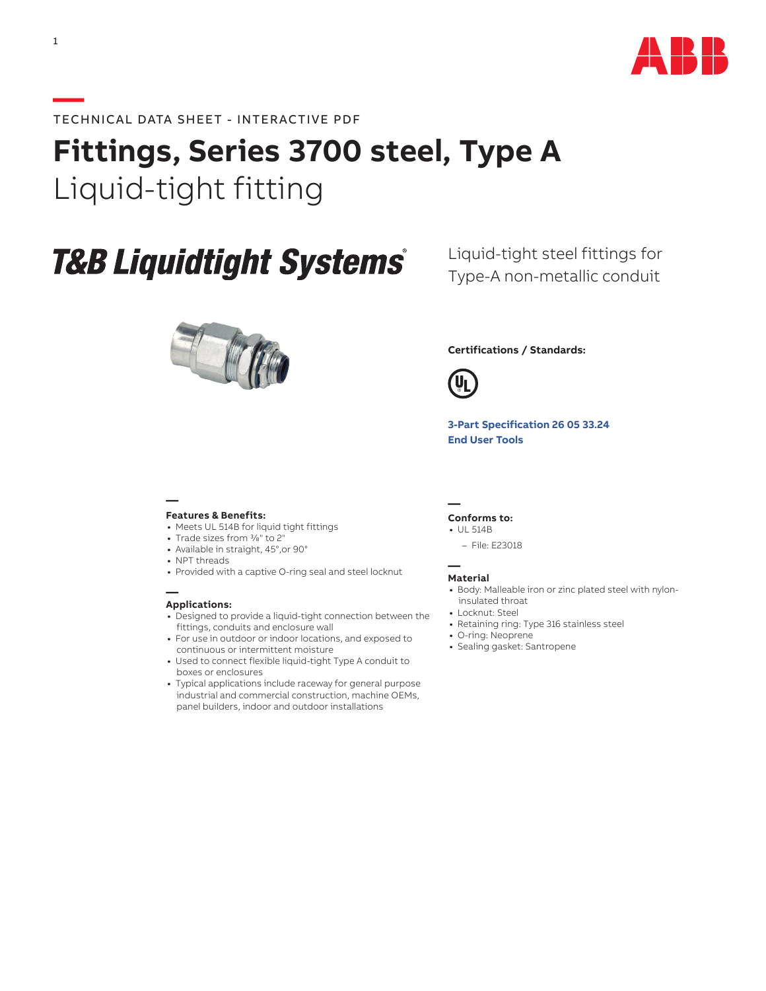

## **Fittings, Series 3700 steel, Type A**  Liquid-tight fitting

# **T&B Liquidtight Systems®**



### Liquid-tight steel fittings for Type-A non-metallic conduit

### **Certifications / Standards:**



**[3-Part Specification 26 05 33.24](http://www-public.tnb.com/ps/pubint/specguide.cgi) [End User Tools](http://tnb.abb.com/pub/en/node/258)**

#### **— Features & Benefits:**

- **•** Meets UL 514B for liquid tight fittings
- **•** Trade sizes from 3/8" to 2"
- **•** Available in straight, 45°,or 90°
- **•** NPT threads
- **•** Provided with a captive O-ring seal and steel locknut

#### **— Applications:**

- **•** Designed to provide a liquid-tight connection between the fittings, conduits and enclosure wall
- **•** For use in outdoor or indoor locations, and exposed to continuous or intermittent moisture
- **•** Used to connect flexible liquid-tight Type A conduit to boxes or enclosures
- **•** Typical applications include raceway for general purpose industrial and commercial construction, machine OEMs, panel builders, indoor and outdoor installations

#### **— Conforms to:**

- **•** UL 514B
	- File: E23018

#### **— Material**

- **•** Body: Malleable iron or zinc plated steel with nyloninsulated throat
- **•** Locknut: Steel
- **•** Retaining ring: Type 316 stainless steel
- **•** O-ring: Neoprene
- **•** Sealing gasket: Santropene